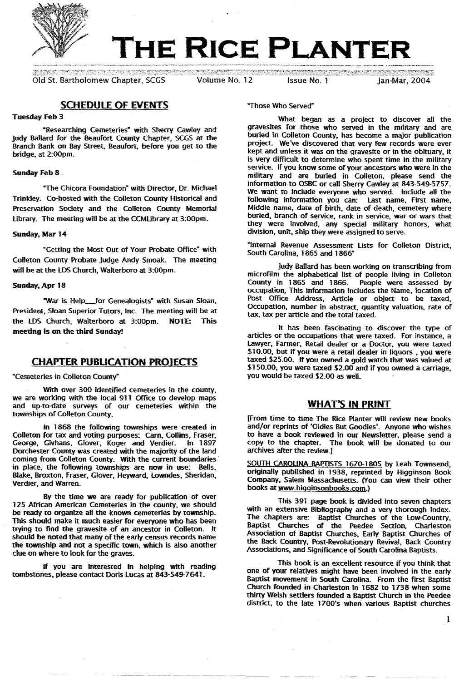

**THE RICE PLANTER**

Old St. Bartholomew Chapter, SCGS

Volume No. 12 Issue No. 1 Jan-Mar. 2004

## **SCHEDULE OF EVENTS**

### Tuesday Feb 3

"Researching Cemeteries" with Sherry Cawley and Judy Ballard for the Beaufort County Chapter, SCGS at the Branch Bank on Bay Street, Beaufort. before you get to the bridge, at 2:00pm.

#### Sunday Feb 8.

'"TheChicora foundation' with Director, Dr. Michael Trinkley. Co-hosted with the Colleton County Historical and Preservation Society and the Colleton County Memoriaf Ubrary. The meeting will be at the CCMUbrary at 3:00pm.

#### Sunday. Mar 14

'Getting the Most Out of Your Probate Office' with Colleton County Probate Judge Andy SmoaK. The meeting will be at the LDS Church, Walterboro at 3:00pm.

#### Sunday, Apr 18

"War is Help\_for Genealogists" with Susan Sloan, President, Sloan Superior Tutors, Inc. The meeting will be at the LOS Church. Wafterboro at 3:00pm. NOTE: This meeting is on the third Sunday!

### **CHAPTER PUBLICATION PROJECTS**

#### 'Cemeteries in Colleton County'

With over 300 identified cemeteries in the county, we are working with the local 911 Office to develop maps and up-to-date surveys of our cemeteries within the townships of Colleton County.

In 1868 the following townships were created in Colleton for tax and voting purposes: Carn, Collins, fraser, George. Givhans. Glover, Koger and Verdier. In 1897 Dorchester County was created with the majority of the land coming from Colleton County. With the current boundaries in place, the following townships are now in use: Bells, Blake, Broxton. Fraser, Glover. Heyward, Lowndes, Sheridan, Verdier. and Warren.

By the time we are ready for publication of over 125 African American Cemeteries in the county, we should be ready to organize afl the known cemeteries by township. This should make it much easier for everyone who has been trying to find the gravesite of an ancestor in Colleton. It should be noted that many of the early census records name the township and not a specific town. which is afso another clue on where to look for the graves.

If you are interested in helping with reading tombstones. please contact Doris lucas at 843-549-7641.

'"Those Who Served"

What began as a project to discover all the gravesites for those who served in the military and are buried in Colleton County. has become a major publication project. We've discovered that very few records were ever kept and unless it was on the gravesite or in the obituary, it is very difficult to determine who spent time in the military service. If you know some of your ancestors who were in the military and are buried in Colleton. please send the information to OSBC or call Sherry Cawley at 843-549-5757. We want to indude everyone who served. Include all the following information you can: last name. First name, Middle name. date of birth. date of death. cemetery where buried. branch of service. rank in service. war or wars that they were involved. any speciaf military honors. what division, unit. ship they were assigned to serve.

"Internaf Revenue Assessment lists for Colleton District South Carolina, 1865 and 1866"

Judy Baflard has been working on transcribing from microfilm the alphabetical list of people living in Colleton County in 1865 and 1866. People were assessed by occupation. This information includes the Name, location of Post Office Address, Article or object to be taxed, Occupation. number in abstract. quantity valuation, rate of tax. tax per article and the total taxed.

It has been fascinating to discover the type of articles or the occupations that were taxed. For instance. a Lawyer, Farmer, Retail dealer or a Doctor, you were taxed \$10.00, but if you were a retail dealer in liquors, you were taxed \$25.00. If you owned a gold watch that was vafued at \$150.00. you were taxed \$2.00 and if you owned a carriage. you would be taxed \$2.00 as well.

### **WHAT'S IN PRINT**

{From time to time The Rice Planter will review new books and/or reprints of 'Oldies But Goodies'. Anyone who wishes to have a book reviewed in our Newsletter, please send a copy to the chapter. The book will be donated to our archives after the review.]

SOUTH CAROLINA BAPTISTS 1670-1805 by Leah Townsend, originafly publiShed in 1938. reprinted by Higginson Book Company. Salem Massachusetts. (You can view their other books at www.higginsonbooks.com.)

This 391 page book is divided into seven chapters with an extensive Bibliography and a very thorough Index. The chapters are: Baptist Churches of the Low-Country, Baptist Churches of the Peedee Section. Charleston Association of Baptist Churches. Eariy Baptist Churches of the Back Country. Post-Revolutionary Revival. Back Country Associations. and Significance of South Carolina Baptists.

This book is an excellent resource if you think that one of your relatives might have been involved in the early Baptist movement in South Carolina. from the first Baptist Church founded in Charleston in 1682 to 1738 when some thirty Welsh settlers founded a Baptist Church in the Peedee district, to the late 1700's when various Baptist churches

1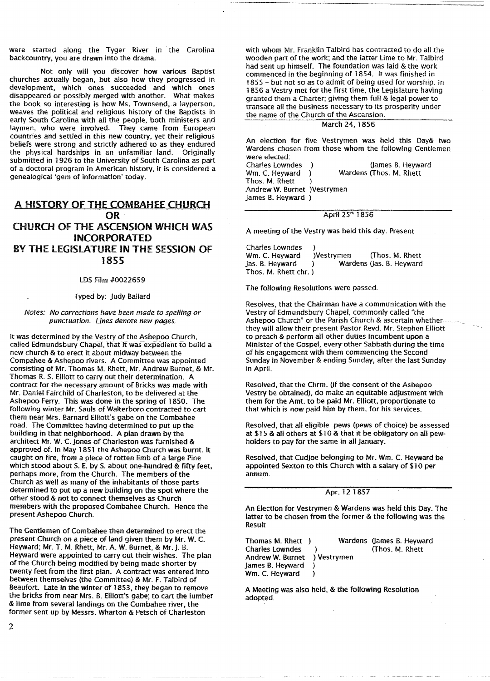were started along the Tyger River in the Carolina backcountry, you are drawn into the drama.

Not only will you discover how various Baptist churches actually began, but also how they progressed in development, which ones succeeded and which ones<br>disappeared or possibly merged with another. What makes disappeared or possibly merged with another. the book so interesting is how Ms. Townsend, a layperson, weaves the political and religious history of the Baptists in early South Carolina with all the people, both ministers and laymen, who were involved. They came from European countries and settled in this new country, yet their religious beliefs were strong and strictly adhered to as they endured<br>the physical hardships in an unfamiliar land. Originally the physical hardships in an unfamiliar land. submitted in 1926 to the University of South Carolina as part of a doctoral program in American history, it is considered a genealogical 'gem of information' today.

### A HISTORY Of THE COMBAHEE CHURCH OR CHURCH OF THE ASCENSION WHICH WAS INCORPORATED BY THE LEGISLATURE IN THE SESSION OF 1855

#### LOSFilm #0022659

#### Typed by: Judy Ballard

#### Notes: No corrections have been made to spelling or punctuation. Lines denote new pages.

It was determined by the Vestry of the Ashepoo Church, called Edmundsbury Chapel, that it was expedient to build a new church & to erect it about midway between the Compahee & Ashepoo rivers. A Committee was appointed consisting of Me Thomas M. Rhett, Mr. Andrew Burnet, & Mr. Thomas R. S. Elliott to carry out their determination. A contract for the necessary amount of Bricks was made with Mr. Daniel Fairchild of Charleston, to be delivered at the Ashepoo Ferry. This was done in the spring of 1850. The following winter Mr. Sauls of Walterboro contracted to cart them near Mrs. Barnard Elliott's gabe on the Combahee road. The Committee having determined to put up the building in that neighborhood. A plan drawn by the architect Mr. W. C. Jones of Charleston was furnished & approved of. In May 1851 the Ashepoo Church was burnt. It caught on fire, from a piece of rotten limb of a large Pine which stood about S. E. by S. about one-hundred & fifty feet. perhaps more, from the Church. The members of the Church as well as many of the inhabitants of those parts determined to put up a new building on the spot where the other stood & not to connect themselves as Church members with the proposed Combahee Church. Hence the present Ashepoo Church.

The Gentlemen of Combahee then determined to erect the present Church on a piece of land given them by Mr. W. C. Heyward; Mr. T. M. Rhett, Mr. A. W. Burnet, & Mr. J. B. Heyward were appointed to carry out their wishes. The plan of the Church being modified by being made shorter by twenty feet from the first plan. A contract was entered into between themselves (the Committee) & Mr. F. Talbird of Beaufort. late in the winter of 1853, they began to remove the bricks from near Mrs. B. Elliott's gabe; to cart the lumber & lime from several landings on the Combahee river, the former sent up by Messrs. Wharton & Petsch of Charleston

with whom Mr. Franklin Talbird has contracted to do all the wooden part of the work; and the latter Lime to Mr. Talbird had sent up himself. The foundation was laid & the work commenced in the beginning of 1854. It was finished in 1855 - but not so as to admit of being used for worship. In 1856 a Vestry met for the first time. the legislature having granted them a Charter; giving them full & legal power to transace all the business necessary to its prosperity under the name of the Church of the Ascension.

#### March 24, 1856

An election for five Vestrymen was held this Day& two Wardens chosen from those whom the following Gentlemen were elected:

Charles lowndes ) Wm. C. Heyward ) Thos. M. Rhett ) Andrew W. Burnet )Vestrymen James B. Heyward )

(James B. Heyward Wardens (Thos. M. Rhett

# April 25" 1856

A meeting of the Vestry was held this day. Present

Charles Lowndes )<br>Wm. C. Heyward )Vestrymen Wm. C. Heyward )Vestrymen (Thos. M. Rhett<br>Jas. B. Heyward ) Wardens (Jas. B. Heyward Wardens (Jas. B. Heyward Thos. M. Rhett chr. )

The following Resolutions were passed.

Resolves, that the Chairman have a communication with the Vestry of Edmundsbury Chapel, commonly called "the Ashepoo Church" or the Parish Church & ascertain whether they will allow their present Pastor Revd. Mr. Stephen Elliott to preach & perform all other duties incumbent upon a Minister of the Gospel, every other Sabbath during the time of his engagement with them commencing the Second Sunday in November & ending Sunday, after the last Sunday in April.

Resolved, that the Chrm. (if the consent of the Ashepoo Vestry be obtained), do make an equitable adjustment with them for the Amt. to be paid Mr. Elliott, proportionate to that which is now paid him by them, for his services.

Resolved, that all eligible pews (pews of choice) be assessed at \$1 5 & all others at \$10 & that it be obligatory on all pewholders to pay for the same in all January.

Resolved, that Cudjoe belonging to Mr. Wm. C. Heyward be appointed Sexton to this Church with a salary of \$10 per annum.

Apr. 12 1857

An Election for Vestrymen & Wardens was held this Day. The latter to be chosen from the former & the following was the Result

| Thomas M. Rhett )            |  | Wardens (James B. Heyward |
|------------------------------|--|---------------------------|
| Charles Lowndes              |  | (Thos. M. Rhett)          |
| Andrew W. Burnet ) Vestrymen |  |                           |
| lames B. Heyward             |  |                           |
| Wm. C. Heyward               |  |                           |

A Meeting was also held, & the following Resolution adopted.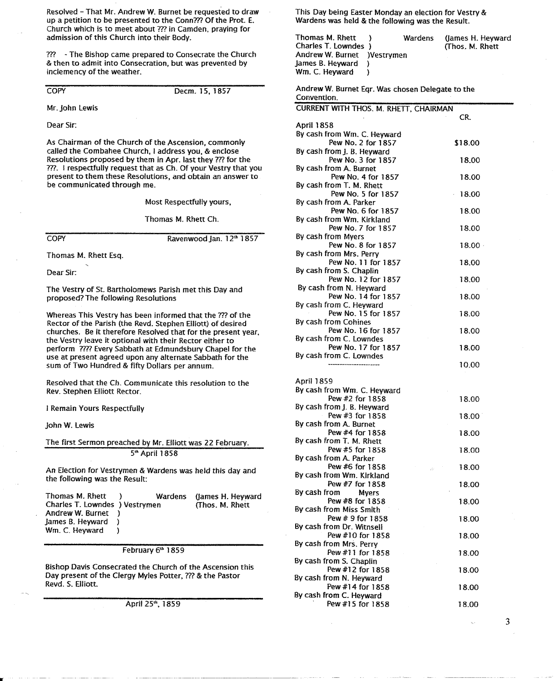Resolved - That Mr. Andrew W. Burnet be requested to draw up a petition to be presented to the Conn??? Of the Prot. E. Church which is to meet about??? in Camden, praying for admission of this Church into their Body.

??? - The Bishop came prepared to Consecrate the Church & then to admit into Consecration, but was prevented by inclemency of the weather.

**COPY** 

Mr. john lewis

Dear Sir:

As Chairman of the Church of the Ascension, commonly called the Combahee Church, I address you, & enclose Resolutions proposed by them in Apr. last they??? for the ???. I respectfully request that as Ch. Of your Vestry that you present to them these Resolutions, and obtain an answer to be communicated through me.

Most Respectfully yours,

Thomas M. Rhett Ch.

**COPY** 

Ravenwood Jan. 12<sup>th</sup> 1857

Thomas M. Rhett Esq.

Dear Sir:

The Vestry of St. Bartholomews Parish met this Day and proposed? The following Resolutions

Whereas This Vestry has been informed that the??? of the Rector of the Parish (the Revd. Stephen Elliott) of desired churches. Be it therefore Resolved that for the present year, the Vestry leave it optional with their Rector either to perform 777? Every Sabbath at Edmundsbury Chapel for the use at present agreed upon any alternate Sabbath for the sum of Two Hundred & fifty Dollars per annum.

Resolved that the Ch. Communicate this resolution to the Rev. Stephen Elliott Rector.

I Remain Yours Respectfully

john W. lewis

The first Sermon preached by Mr. Elliott was 22 february. 5" April 1858

An Election for Vestrymen & Wardens was held this day and the following was the Result:

| Thomas M. Rhett                |  | Wardens (James H. Heyward |
|--------------------------------|--|---------------------------|
| Charles T. Lowndes ) Vestrymen |  | (Thos. M. Rhett)          |
| Andrew W. Burnet )             |  |                           |
| James B. Heyward               |  |                           |
| Wm. C. Heyward                 |  |                           |

February  $6<sup>th</sup>$  1859

Bishop Davis Consecrated the Church of the Ascensipn this Day present of the Clergy Myles Potter, ???& the Pastor Revd. S. Elliott.

April 25<sup>th</sup>, 1859

This Day being Easter Monday an election for Vestry & Wardens was held & the following was the Result.

| Thomas M. Rhett            | Wardens | (James H. Heyward |
|----------------------------|---------|-------------------|
| Charles T. Lowndes )       |         | (Thos. M. Rhett)  |
| Andrew W. Burnet Westrymen |         |                   |
| James B. Hevward           |         |                   |
| Wm. C. Heyward             |         |                   |

Decm. 15, 1857 Andrew W. Burnet Eqr. Was chosen Delegate to the Convention.

| CURRENT WITH THOS. M. RHETT, CHAIRMAN |             |
|---------------------------------------|-------------|
|                                       | CR.         |
| April 1858                            |             |
| By cash from Wm. C. Heyward           |             |
| Pew No. 2 for 1857                    | \$18.00     |
| By cash from J. B. Heyward            |             |
| Pew No. 3 for 1857                    | 18.00       |
| By cash from A. Burnet                |             |
| Pew No. 4 for 1857                    | 18.00       |
| By cash from T. M. Rhett              |             |
| Pew No. 5 for 1857                    | 18.00       |
| By cash from A. Parker                |             |
| Pew No. 6 for 1857                    |             |
|                                       | 18.00       |
| By cash from Wm. Kirkland             |             |
| Pew No. 7 for 1857                    | 18.00       |
| By cash from Myers                    |             |
| Pew No. 8 for 1857                    | $18.00 -$   |
| By cash from Mrs. Perry               |             |
| Pew No. 11 for 1857                   | 18.00       |
| By cash from S. Chaplin               |             |
| Pew No. 12 for 1857                   | 18.00       |
| By cash from N. Heyward               |             |
| Pew No. 14 for 1857                   | 18.00       |
| By cash from C. Heyward               |             |
| Pew No. 15 for 1857                   | 18.00       |
| By cash from Cohines                  |             |
| Pew No. 16 for 1857                   | 18.00       |
| By cash from C. Lowndes               |             |
| Pew No. 17 for 1857                   | 18.00       |
| By cash from C. Lowndes               |             |
|                                       | 10,00       |
|                                       |             |
| April 1859                            |             |
| By cash from Wm. C. Heyward           |             |
| Pew #2 for 1858                       | 18.00       |
| By cash from J. B. Heyward            |             |
| Pew #3 for 1858                       |             |
|                                       | 18.00       |
| By cash from A. Burnet                |             |
| Pew #4 for 1858                       | 18.00       |
| By cash from T. M. Rhett              |             |
| Pew #5 for 1858                       | 18.00       |
| By cash from A. Parker                |             |
| Pew #6 for 1858                       | 18.00<br>W. |
| By cash from Wm. Kirkland             |             |
| Pew #7 for 1858                       | 18.00       |
| By cash from<br>Myers                 |             |
| Pew #8 for 1858                       | 18.00       |
| By cash from Miss Smith               |             |
| Pew # 9 for 1858                      | 18.00       |
| By cash from Dr. Witnsell             |             |
| Pew #10 for 1858                      | 18.00       |
| By cash from Mrs. Perry               |             |
| Pew #11 for 1858                      | 18.00       |
| By cash from S. Chaplin               |             |
| Pew #12 for 1858                      | 18.00       |
| By cash from N. Heyward               |             |
| Pew #14 for 1858                      | 18.00       |
| By cash from C. Heyward               |             |
| Pew #15 for 1858                      |             |
|                                       | 18.00       |

3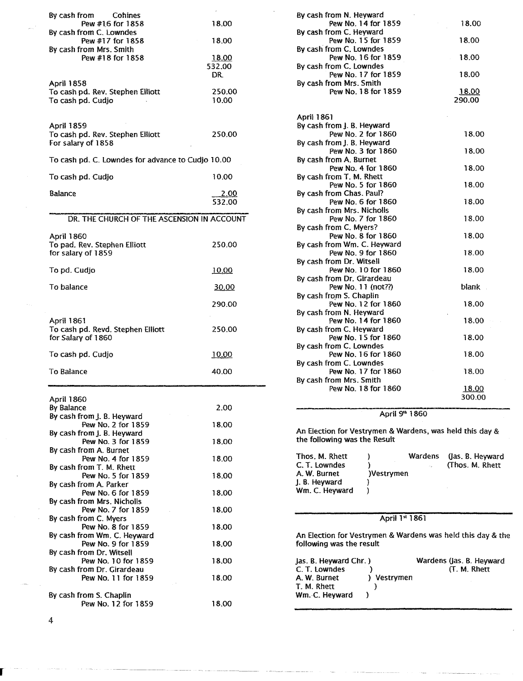| By cash from<br>Cohines                                                                                                                                                                                                                                                                                                                                                               |                                                                     |
|---------------------------------------------------------------------------------------------------------------------------------------------------------------------------------------------------------------------------------------------------------------------------------------------------------------------------------------------------------------------------------------|---------------------------------------------------------------------|
| Pew #16 for 1858                                                                                                                                                                                                                                                                                                                                                                      | 18.00                                                               |
| By cash from C. Lowndes<br>Pew #17 for 1858<br>By cash from Mrs. Smith                                                                                                                                                                                                                                                                                                                | 18.00                                                               |
| Pew #18 for 1858                                                                                                                                                                                                                                                                                                                                                                      | <u>18.00</u><br>532.00<br>DR.                                       |
| April 1858<br>To cash pd. Rev. Stephen Elliott<br>To cash pd. Cudjo                                                                                                                                                                                                                                                                                                                   | 250.00<br>10.00                                                     |
| <b>April 1859</b><br>To cash pd. Rev. Stephen Elliott<br>For salary of 1858                                                                                                                                                                                                                                                                                                           | 250.00                                                              |
| To cash pd. C. Lowndes for advance to Cudjo 10.00                                                                                                                                                                                                                                                                                                                                     |                                                                     |
| To cash pd. Cudjo                                                                                                                                                                                                                                                                                                                                                                     | 10.00                                                               |
| Balance                                                                                                                                                                                                                                                                                                                                                                               | <u>2.00</u><br>532.00                                               |
| DR. THE CHURCH OF THE ASCENSION IN ACCOUNT                                                                                                                                                                                                                                                                                                                                            |                                                                     |
| April 1860<br>To pad. Rev. Stephen Elliott<br>for salary of 1859                                                                                                                                                                                                                                                                                                                      | 250.00                                                              |
| To pd. Cudjo                                                                                                                                                                                                                                                                                                                                                                          | <u>10.00</u>                                                        |
| To balance                                                                                                                                                                                                                                                                                                                                                                            | 30.00                                                               |
|                                                                                                                                                                                                                                                                                                                                                                                       | 290.00                                                              |
|                                                                                                                                                                                                                                                                                                                                                                                       |                                                                     |
| April 1861<br>To cash pd. Revd. Stephen Elliott<br>for Salary of 1860                                                                                                                                                                                                                                                                                                                 | 250.00                                                              |
| To cash pd. Cudjo                                                                                                                                                                                                                                                                                                                                                                     | <u>10.00</u>                                                        |
| To Balance                                                                                                                                                                                                                                                                                                                                                                            | 40.00                                                               |
| April 1860<br>By Balance<br>By cash from J. B. Heyward<br>Pew No. 2 for 1859<br>By cash from J. B. Heyward<br>Pew No. 3 for 1859<br>By cash from A. Burnet<br>Pew No. 4 for 1859<br>By cash from T. M. Rhett<br>Pew No. 5 for 1859<br>By cash from A. Parker<br>Pew No. 6 for 1859<br>By cash from Mrs. Nicholls<br>Pew No. 7 for 1859<br>By cash from C. Myers<br>Pew No. 8 for 1859 | 2.00<br>18.00<br>18.00<br>18.00<br>18.00<br>18.00<br>18.00<br>18.00 |
| By cash from Wm. C. Heyward<br>Pew No. 9 for 1859                                                                                                                                                                                                                                                                                                                                     | 18.00                                                               |
| By cash from Dr. Witsell<br>Pew No. 10 for 1859                                                                                                                                                                                                                                                                                                                                       | 18.00                                                               |
| By cash from Dr. Girardeau<br>Pew No. 11 for 1859                                                                                                                                                                                                                                                                                                                                     | 18.00                                                               |

| By cash from N. Heyward                           |              |
|---------------------------------------------------|--------------|
| Pew No. 14 for 1859                               | 18.00        |
| By cash from C. Heyward<br>Pew No. 15 for 1859    | 18.00        |
| By cash from C. Lowndes                           |              |
| Pew No. 16 for 1859                               | 18.00        |
| By cash from C. Lowndes                           |              |
| Pew No. 17 for 1859                               | 18.00        |
| By cash from Mrs. Smith                           |              |
| Pew No. 18 for 1859                               | <u>18.00</u> |
|                                                   | 290.00       |
|                                                   |              |
| April 1861                                        |              |
| By cash from J. B. Heyward<br>Pew No. 2 for 1860  |              |
| By cash from J. B. Heyward                        | 18.00        |
| Pew No. 3 for 1860                                | 18.00        |
| By cash from A. Burnet                            |              |
| Pew No. 4 for 1860                                | 18.00        |
| By cash from T. M. Rhett                          |              |
| Pew No. 5 for 1860                                | 18.00        |
| By cash from Chas. Paul?                          |              |
| Pew No. 6 for 1860                                | 18.00        |
| <b>By cash from Mrs. Nicholls</b>                 |              |
| Pew No. 7 for 1860                                | 18.00        |
| By cash from C. Myers?                            |              |
| Pew No. 8 for 1860                                | 18.00        |
| By cash from Wm. C. Heyward                       |              |
| Pew No. 9 for 1860                                | 18.00        |
| By cash from Dr. Witsell                          |              |
| Pew No. 10 for 1860<br>By cash from Dr. Girardeau | 18.00        |
| Pew No. 11 (not??)                                | blank        |
| By cash from S. Chaplin                           |              |
| Pew No. 12 for 1860                               | 18.00        |
| By cash from N. Heyward                           |              |
| Pew No. 14 for 1860                               | 18.00        |
| By cash from C. Heyward                           |              |
| Pew No. 15 for 1860                               | 18.00        |
| By cash from C. Lowndes                           |              |
| Pew No. 16 for 1860                               | 18.00        |
| By cash from C. Lowndes                           |              |
| Pew No. 17 for 1860                               | 18.00        |
| By cash from Mrs. Smith                           |              |
| Pew No. 18 for 1860                               | 18.00        |
|                                                   | 300.00       |
| April 9 <sup>th</sup> 1860                        |              |
|                                                   |              |

An Election for Vestrymen & Wardens, was held this day & the following was the Result

| Thos, M. Rhett |            | Wardens                      | (Jas. B. Hevward |
|----------------|------------|------------------------------|------------------|
| C. T. Lowndes  |            | $\mathcal{F}_{\mathbf{B}}$ . | (Thos. M. Rhett) |
| A. W. Burnet   | )Vestrymen |                              |                  |
| J. B. Heyward  |            |                              |                  |
| Wm. C. Heyward |            |                              |                  |

### April 1<sup>st</sup> 1861

An Election for Vestrymen & Wardens was held this day & the following was the resul

| Jas. B. Heyward Chr.) |             | Wardens (Jas. B. Heyward |
|-----------------------|-------------|--------------------------|
| C. T. Lowndes         |             | (T. M. Rhett             |
| A. W. Burnet          | ) Vestrymen |                          |
| T. M. Rhett           |             |                          |
| Wm. C. Heyward        |             |                          |

4

J.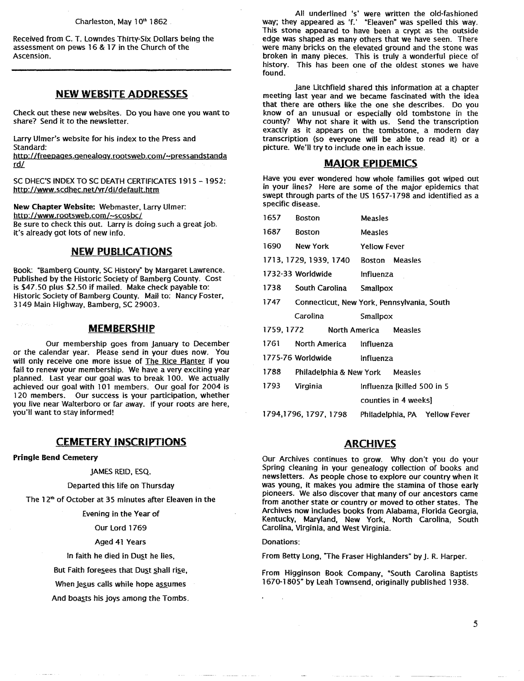#### Charleston, May 1Q'h 1862

Received from C. T. Lowndes Thirty-Six Dollars being the assessment on pews  $16 & 17$  in the Church of the Ascension.

### **NEW WEBSITE ADDRESSES**

Check out these new websites. Do you have one you want to share? Send it to the newsletter.

Larry Ulmer's website for his index to the Press and Standard:

http://freepages.genealogy.rootsweb.com/~pressandstanda rd/

SC DHEC'S INDEX TO SC DEATH CERTIFICATES 1915 - 1952: http://www.scdhec.net/vr/di/default.htm

**New Chapter Website:** Webmaster, Larry Ulmer: http://www.rootsweb.com/-scosbc/ Be sure to check this out. Larry is doing such a great job. It's already got lots of new info.

### **NEW PUBLICATIONS**

Book: "Bamberg County, SC History" by Margaret Lawrence. Published by the Historic Society of Bamberg County. Cost is \$47.50 plus \$2.50 if mailed. Make check payable to: Historic Society of Bamberg County. Mail to: Nancy Foster, 3149 Main Highway, Bamberg, SC 29003.

### **MEMBERSHIP**

Our membership goes from january to December or the calendar year. Please send in your dues now. You will only receive one more issue of The Rice Planter if you fail to renew your membership. We have a very exciting year planned. last year our goal was to break 100. We actually achieved our goal with 101 members. Our goal for 2004 is 120 members. Our success is your participation, whether you live near Walterboro or far away. If your roots are here, you'll want to stay informed!

### **CEMETERY INSCRIPTIONS ARCHiVES**

#### **Pringle Bend** Cemetery

JAMES REID, ESQ.

Departed this life on Thursday

The *12'h* of October at 35 minutes after Eleaven in the

#### Evening in the Year of

Our Lord 1769

Aged 41 Years

In faith he died in Dust he lies,

But Faith foresees that Dust shall rise,

When lesus calls while hope assumes

And boasts his joys among the Tombs.

All underlined 's' were written the old-fashione way; they appeared as 'f: "Eleaven" was spelled this way. This stone appeared to have been a crypt as the outside edge was shaped as many others that we have seen. There were many bricks on the elevated ground and the stone was broken in many pieces. This is truly a wonderful piece of history. This has been one of the oldest stones we have found.

jane Litchfield shared this information at a chapter meeting last year and we became fascinated with the idea that there are others like the one she describes. Do you know of an unusual or especially old tombstone in the county? Why not share it with us. Send the transcription exactly as it appears on the tombstone, a modern day transcription (so everyone will be able to read it) or a picture. We'll try to include one in each issue.

### **MAIOR EPIDEMICS**

Have you ever wondered how whole families got wiped out in your lines? Here are some of the major epidemics that swept through parts of the US 1657-1798 and identified as a specific disease.

| <b>Boston</b>          | Measles                                    |
|------------------------|--------------------------------------------|
| <b>Boston</b>          | Measles                                    |
| New York               | <b>Yellow Fever</b>                        |
| 1713, 1729, 1939, 1740 | Boston Measles                             |
| 1732-33 Worldwide      | <b>Influenza</b>                           |
| South Carolina         | Smallpox                                   |
|                        | Connecticut, New York, Pennsylvania, South |
| Carolina               | Smallpox                                   |
| 1759. 1772             | North America Measles                      |
| North America          | Influenza                                  |
| 1775-76 Worldwide      | Influenza                                  |
|                        |                                            |

- 1788 Philadelphia & New York Measles
- 1793 Virginia Influenza Ikilled 500 in 5

counties in 4 weeks}

1794,1796, 1797, 1798 Philadelphia, PA Yellow Fever

Our Archives continues to grow. Why don't you do your Spring cleaning in your genealogy collection of books and newsletters. As people chose to explore our country when it was young, it makes you admire the stamina of those early pioneers. We also discover that many of our ancestors came from another state or country or moved to other states. The Archives now includes books from Alabama, Florida Georgia. Kentucky. Maryland, New York, North Carolina, South Carolina, Virginia, and West Virginia.

Donations:

1657

From Betty Long, "The Fraser Highlanders" by J. R. Harper.

From Higginson Book Company, "South Carolina Baptists 1670-1805" by Leah Townsend, originally publiShed 1938.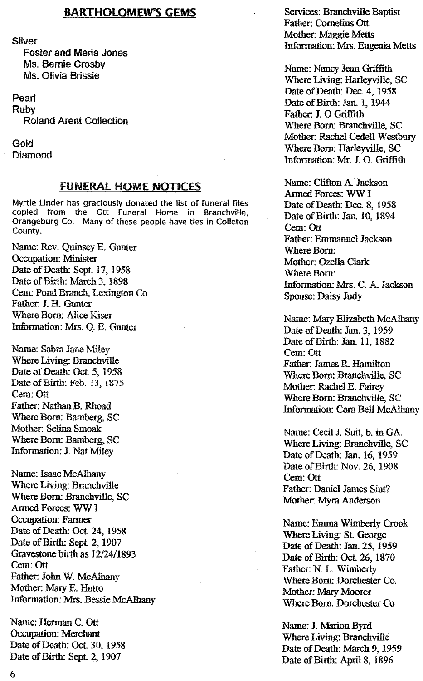### **BARTHOLOMEW'S GEMS**

#### Silver

Foster and Maria Jones Ms. Bernie Crosby Ms. Olivia Brissie

Pearl

Ruby Roland Arent Collection

Gold Diamond

### FUNERAL HOME NOTICES

Myrtle Under has graciously donated the list of funeral files copied from the Ott Funeral Home in Branchville. Orangeburg Co. Many of these people have ties in Colleton County.

Name: Rev. Quinsey E. Gunter Occupation: Minister Date of Death: Sept. 17, 1958 Date of Birth: March 3, 1898 Cern: Pond Branch, Lexington Co Father: J. H. Gunter Where Born: Alice Kiser Information: Mrs. Q. E. Gunter

Name: Sabra Jane Miley Where Living: Branchville Date of Death: Oct. 5, 1958 Date of Birth: Feb. 13, 1875 Cem: Ott Father: Nathan B. Rhoad Where Born: Bamberg, SC Mother: Selina Smoak Where Born: Bamberg, SC Information: J. Nat Miley

Name: Isaac McAJhany Where Living: Branchville Where Born: Branchville, SC Armed Forces: WW I Occupation: Farmer Date of Death: Oct. 24, 1958 Date of Birth: Sept. 2, 1907 Gravestone birth as 12/24/1893 Cem:Ott Father: John W. McAihany Mother: Mary E. Hutto Information: Mrs. Bessie McAlhany

Name: Herman C. Ott Occupation: Merchant Date of Death: Oct. 30, 1958 Date of Birth: Sept. 2, 1907

Services: Branchville Baptist Father: Cornelius Ott Mother: Maggie Metts Information: Mrs. Eugenia Metts

Name: Nancy Jean Griffith Where Living: Harleyville, SC Date of Death: Dec. 4, 1958 Date of Birth: Jan. 1, 1944 Father: J. 0 Griffith Where Born: Branchville, SC Mother: Rachel Cedell Westbury Where Born: Harleyville, SC Information: Mr. J. O. Griffith

Name: Clifton A' Jackson Armed Forces: WW I Date of Death: Dec. 8, 1958 Date of Birth: Jan. 10, 1894 Cem: Ott Father: Emmanuel Jackson Where Born: Mother: Ozella Clark Where Born: Information: Mrs. C. A. Jackson Spouse: Daisy Judy

Name: Mary Elizabeth McAlbany Date of Death: Jan. 3,1959 Date of Birth: Jan. II, 1882 Cem: Ott Father: James R Hamilton Where Born: Branchville, SC Mother: Rachel E. Fairey Where Born: Branchville, SC Information: Cora Bell McAlhany

Name: Cecil J. Suit, b. in GA Where Living: Branchville, SC Date of Death: Jan. 16, 1959 Date of Birth: Nov. 26,1908 Cem: Ott Father: Daniel James Sint? Mother: Myra Anderson

Name: Emma Wimberly Crook Where Living: St. George Date of Death: Jan. 25, 1959 Date of Birth: Oct 26, 1870 Father: N.L. Wimberly Where Born: Dorchester Co. Mother: Mary Moorer Where Born: Dorchester Co

Name: 1. Marion Byrd Where Living: Branchville Date of Death: March 9, 1959 Date of Birth: April 8, 1896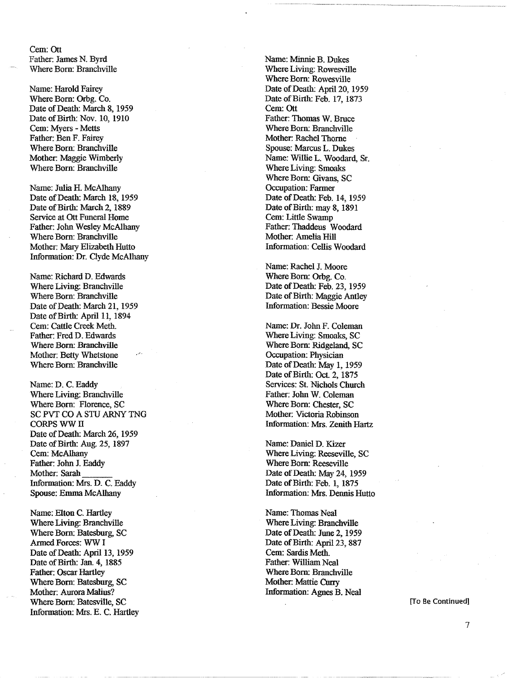Cern: Ott Father: James N. Byrd Where Born: Branchville

Name: Harold Fairey Where Born: Orbg. Co. Date of Death: March 8,1959 Date of Birth: Nov. 10, 1910 Cem: Myers - Metts Father: Ben F. Fairey Where Born: Branchville Mother: Maggie Wimberly Where Born: Branchville

Name: Julia H. McAlhany Date of Death: March 18, 1959 Date of Birth: March 2, 1889 Service at Ott Funeral Home Father: John Wesley McAlhany Where Born: Branchville Mother: Mary Elizabeth Hutto Information: Dr. Clyde McAlhany

Name: Richard D. Edwards Where Living: Branchville Where Born: Branchville Date of Death: March 21, 1959 Date of Birth: April II, 1894 Cern: Cattle Creek Meth. Father: Fred D. Edwards Where Bom: Branchville Mother: Betty Whetstone Where Bom: Branchville

Name: D. C. Eaddy Where Living: Branchville Where Born: Florence, SC SC PVT CO A STU ARNY TNG CORPS WW II Date of Death: March 26, 1959 Date of Birth: Aug. 25, 1897 Cem: McAlhany Father: John J. Eaddy Mother: Sarah Information: Mrs. D. C. Eaddy Spouse: Emma McAlhany

Name: Elton C. Hartley Where Living: Branchville Where Born: Batesburg, SC Armed Forces: WW I Date of Death: April 13, 1959 Date of Birth: Jan. 4, 1885 Father: Oscar Hartley Where Born: Batesburg, SC Mother: Aurora Malius? Where Born: Batesville, SC Information: Mrs. E. C. Hartley Name: Minnie B. Dukes Where Living: Rowesville Where Born: Rowesville Date of Death: April 20, 1959 Date of Birth: Feb. 17, 1873 Cem: Ott Father: Thomas W. Bruce Where Born: Branchville Mother: Rachel Thome Spouse: Marcus L. Dukes Name: Willie L. Woodard, Sr. Where Living: Smoaks Where Born: Givans, SC Occupation: Farmer Date of Death: Feb. 14, 1959 Date of Birth: may 8, 1891 Cern: Little Swamp Father: Thaddeus Woodard Mother: Amelia Hill Information: Cellis Woodard

Name: Rachel 1. Moore Where Bom: Orbg. Co. Date of Death: Feb. 23, 1959 Date of Birth: Maggie Antley Information: Bessie Moore

Name: Dr. John F. Coleman Where Living: Smoaks, SC Where Bom: Ridgeland, SC Occupation: Physician Date of Death: May 1, 1959 Date of Birth: Oct. 2,1875 Services: St. Nichols Church Father: John W. Coleman Where Born: Chester, SC Mother: Victoria Robinson Information: Mrs. Zenith Hartz

Name: Daniel D. Kizer Where Living: Reeseville, SC Where Bom: Reeseville Date of Death: May 24, 1959 Date of Birth: Feb. I, 1875 Information: Mrs. Dennis Hutto

Name: Thomas Neal Where Living: Branchville Date of Death: June 2. 1959 Date of Birth: April 23, 887 Cern: Sardis Meth. Father: William Neal Where Born: Branchville Mother: Mattie Curry Information: Agnes B. Neal

[To Be Continued}